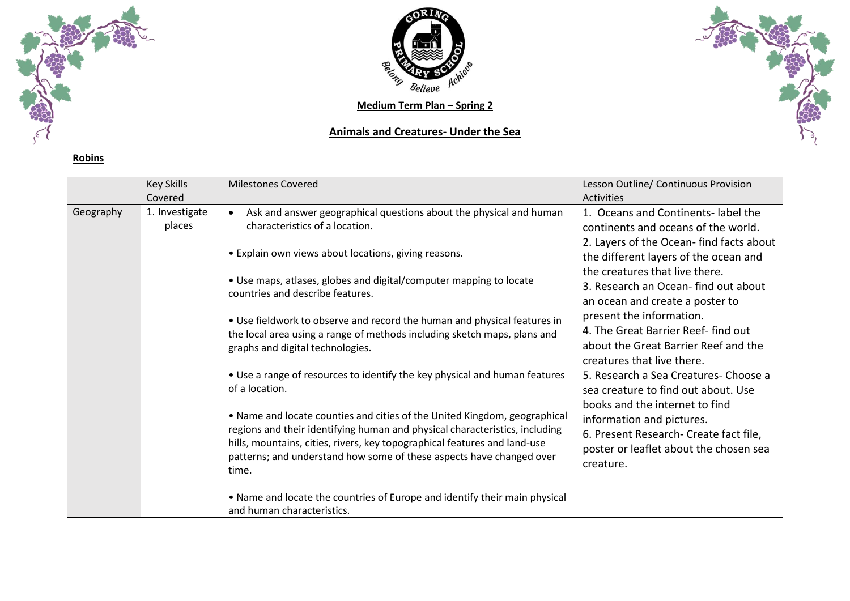

**Robins**



**Medium Term Plan – Spring 2**

## **Animals and Creatures- Under the Sea**



|           | <b>Key Skills</b>        | <b>Milestones Covered</b>                                                                                                                                                                                                                                                                                              | Lesson Outline/ Continuous Provision                                                                                                                         |
|-----------|--------------------------|------------------------------------------------------------------------------------------------------------------------------------------------------------------------------------------------------------------------------------------------------------------------------------------------------------------------|--------------------------------------------------------------------------------------------------------------------------------------------------------------|
|           | Covered                  |                                                                                                                                                                                                                                                                                                                        | <b>Activities</b>                                                                                                                                            |
| Geography | 1. Investigate<br>places | Ask and answer geographical questions about the physical and human<br>characteristics of a location.                                                                                                                                                                                                                   | 1. Oceans and Continents-label the<br>continents and oceans of the world.                                                                                    |
|           |                          | • Explain own views about locations, giving reasons.                                                                                                                                                                                                                                                                   | 2. Layers of the Ocean- find facts about<br>the different layers of the ocean and                                                                            |
|           |                          | • Use maps, atlases, globes and digital/computer mapping to locate<br>countries and describe features.                                                                                                                                                                                                                 | the creatures that live there.<br>3. Research an Ocean- find out about<br>an ocean and create a poster to                                                    |
|           |                          | • Use fieldwork to observe and record the human and physical features in<br>the local area using a range of methods including sketch maps, plans and<br>graphs and digital technologies.                                                                                                                               | present the information.<br>4. The Great Barrier Reef-find out<br>about the Great Barrier Reef and the<br>creatures that live there.                         |
|           |                          | • Use a range of resources to identify the key physical and human features<br>of a location.                                                                                                                                                                                                                           | 5. Research a Sea Creatures-Choose a<br>sea creature to find out about. Use                                                                                  |
|           |                          | • Name and locate counties and cities of the United Kingdom, geographical<br>regions and their identifying human and physical characteristics, including<br>hills, mountains, cities, rivers, key topographical features and land-use<br>patterns; and understand how some of these aspects have changed over<br>time. | books and the internet to find<br>information and pictures.<br>6. Present Research- Create fact file,<br>poster or leaflet about the chosen sea<br>creature. |
|           |                          | • Name and locate the countries of Europe and identify their main physical<br>and human characteristics.                                                                                                                                                                                                               |                                                                                                                                                              |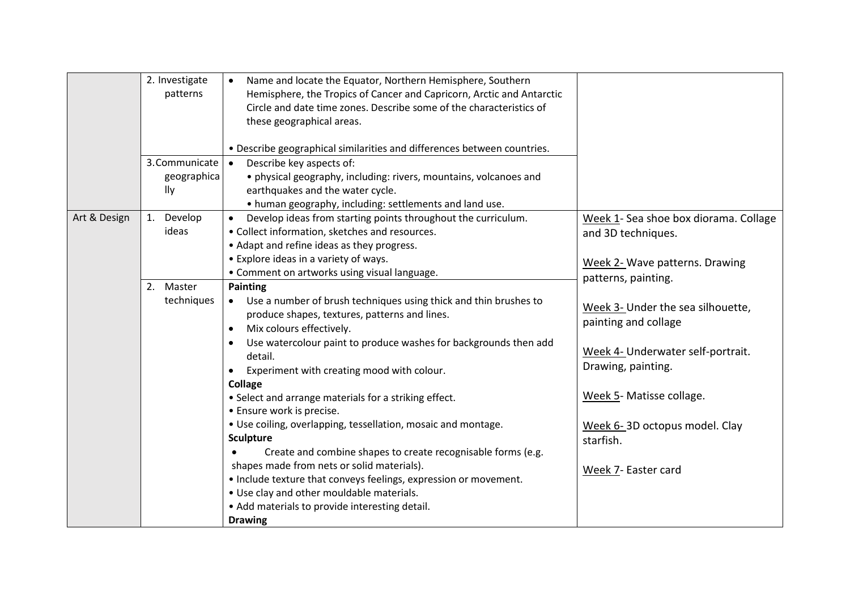|              | 2. Investigate<br>patterns           | Name and locate the Equator, Northern Hemisphere, Southern<br>Hemisphere, the Tropics of Cancer and Capricorn, Arctic and Antarctic<br>Circle and date time zones. Describe some of the characteristics of<br>these geographical areas.                                                                                                                                                                                                                                                                                                                                                                                                                                                                                                                                                                                       |                                                                                                                                                                                                                                              |
|--------------|--------------------------------------|-------------------------------------------------------------------------------------------------------------------------------------------------------------------------------------------------------------------------------------------------------------------------------------------------------------------------------------------------------------------------------------------------------------------------------------------------------------------------------------------------------------------------------------------------------------------------------------------------------------------------------------------------------------------------------------------------------------------------------------------------------------------------------------------------------------------------------|----------------------------------------------------------------------------------------------------------------------------------------------------------------------------------------------------------------------------------------------|
|              |                                      | . Describe geographical similarities and differences between countries.                                                                                                                                                                                                                                                                                                                                                                                                                                                                                                                                                                                                                                                                                                                                                       |                                                                                                                                                                                                                                              |
|              | 3. Communicate<br>geographica<br>lly | Describe key aspects of:<br>· physical geography, including: rivers, mountains, volcanoes and<br>earthquakes and the water cycle.<br>• human geography, including: settlements and land use.                                                                                                                                                                                                                                                                                                                                                                                                                                                                                                                                                                                                                                  |                                                                                                                                                                                                                                              |
| Art & Design | 1. Develop<br>ideas                  | Develop ideas from starting points throughout the curriculum.<br>• Collect information, sketches and resources.<br>• Adapt and refine ideas as they progress.<br>• Explore ideas in a variety of ways.<br>• Comment on artworks using visual language.                                                                                                                                                                                                                                                                                                                                                                                                                                                                                                                                                                        | Week 1- Sea shoe box diorama. Collage<br>and 3D techniques.<br>Week 2- Wave patterns. Drawing                                                                                                                                                |
|              | 2. Master<br>techniques              | Painting<br>Use a number of brush techniques using thick and thin brushes to<br>$\bullet$<br>produce shapes, textures, patterns and lines.<br>Mix colours effectively.<br>$\bullet$<br>Use watercolour paint to produce washes for backgrounds then add<br>detail.<br>Experiment with creating mood with colour.<br>$\bullet$<br><b>Collage</b><br>• Select and arrange materials for a striking effect.<br>• Ensure work is precise.<br>• Use coiling, overlapping, tessellation, mosaic and montage.<br><b>Sculpture</b><br>Create and combine shapes to create recognisable forms (e.g.<br>shapes made from nets or solid materials).<br>• Include texture that conveys feelings, expression or movement.<br>. Use clay and other mouldable materials.<br>• Add materials to provide interesting detail.<br><b>Drawing</b> | patterns, painting.<br>Week 3- Under the sea silhouette,<br>painting and collage<br>Week 4- Underwater self-portrait.<br>Drawing, painting.<br>Week 5- Matisse collage.<br>Week 6-3D octopus model. Clay<br>starfish.<br>Week 7- Easter card |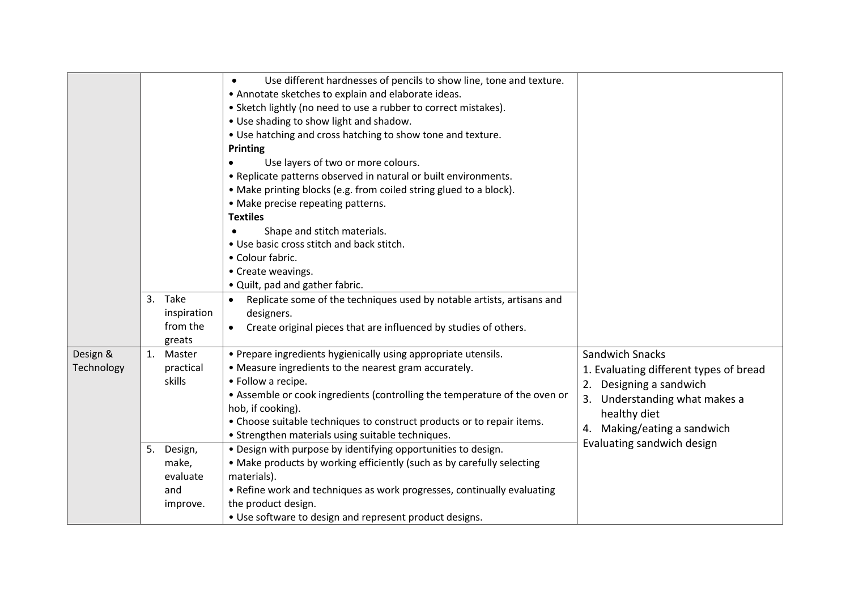|                        |    | 3. Take<br>inspiration                          | Use different hardnesses of pencils to show line, tone and texture.<br>$\bullet$<br>• Annotate sketches to explain and elaborate ideas.<br>• Sketch lightly (no need to use a rubber to correct mistakes).<br>• Use shading to show light and shadow.<br>• Use hatching and cross hatching to show tone and texture.<br><b>Printing</b><br>Use layers of two or more colours.<br>• Replicate patterns observed in natural or built environments.<br>• Make printing blocks (e.g. from coiled string glued to a block).<br>• Make precise repeating patterns.<br><b>Textiles</b><br>Shape and stitch materials.<br>. Use basic cross stitch and back stitch.<br>• Colour fabric.<br>• Create weavings.<br>• Quilt, pad and gather fabric.<br>Replicate some of the techniques used by notable artists, artisans and<br>designers. |                                                                                                                                                                                                           |
|------------------------|----|-------------------------------------------------|----------------------------------------------------------------------------------------------------------------------------------------------------------------------------------------------------------------------------------------------------------------------------------------------------------------------------------------------------------------------------------------------------------------------------------------------------------------------------------------------------------------------------------------------------------------------------------------------------------------------------------------------------------------------------------------------------------------------------------------------------------------------------------------------------------------------------------|-----------------------------------------------------------------------------------------------------------------------------------------------------------------------------------------------------------|
|                        |    | from the<br>greats                              | Create original pieces that are influenced by studies of others.                                                                                                                                                                                                                                                                                                                                                                                                                                                                                                                                                                                                                                                                                                                                                                 |                                                                                                                                                                                                           |
| Design &<br>Technology |    | 1. Master<br>practical<br>skills                | • Prepare ingredients hygienically using appropriate utensils.<br>• Measure ingredients to the nearest gram accurately.<br>• Follow a recipe.<br>• Assemble or cook ingredients (controlling the temperature of the oven or<br>hob, if cooking).<br>• Choose suitable techniques to construct products or to repair items.<br>• Strengthen materials using suitable techniques.                                                                                                                                                                                                                                                                                                                                                                                                                                                  | <b>Sandwich Snacks</b><br>1. Evaluating different types of bread<br>2. Designing a sandwich<br>3. Understanding what makes a<br>healthy diet<br>4. Making/eating a sandwich<br>Evaluating sandwich design |
|                        | 5. | Design,<br>make,<br>evaluate<br>and<br>improve. | . Design with purpose by identifying opportunities to design.<br>• Make products by working efficiently (such as by carefully selecting<br>materials).<br>• Refine work and techniques as work progresses, continually evaluating<br>the product design.<br>• Use software to design and represent product designs.                                                                                                                                                                                                                                                                                                                                                                                                                                                                                                              |                                                                                                                                                                                                           |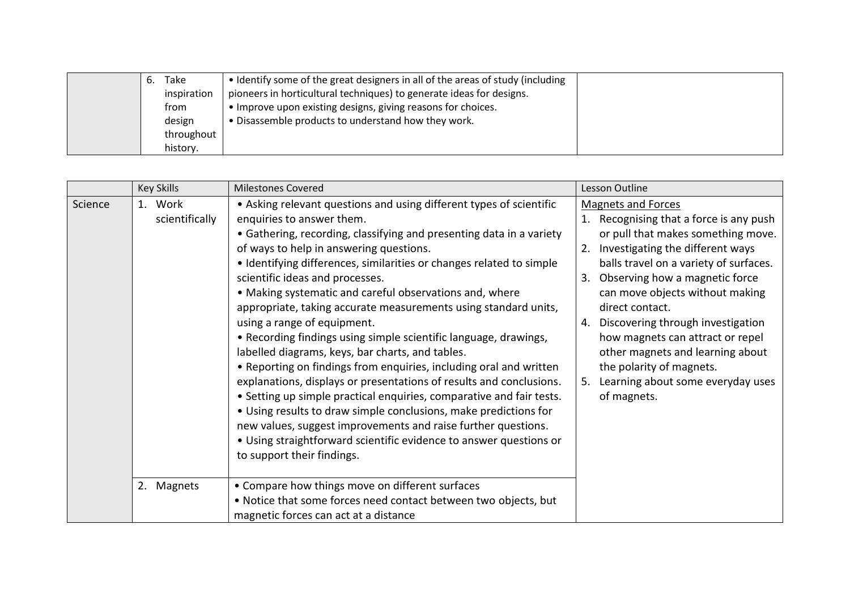|  | Take        | • Identify some of the great designers in all of the areas of study (including |  |
|--|-------------|--------------------------------------------------------------------------------|--|
|  | inspiration | pioneers in horticultural techniques) to generate ideas for designs.           |  |
|  | from        | • Improve upon existing designs, giving reasons for choices.                   |  |
|  | design      | • Disassemble products to understand how they work.                            |  |
|  | throughout  |                                                                                |  |
|  | history.    |                                                                                |  |

|         | <b>Key Skills</b>         | <b>Milestones Covered</b>                                                                                                                                                                                                                                                                                                                                                                                                                                                                                                                                                                                                                                                                                                                                                                                                                                                                                                                                                                                                                                                         | Lesson Outline                                                                                                                                                                                                                                                                                                                                                                                                                                                                                        |
|---------|---------------------------|-----------------------------------------------------------------------------------------------------------------------------------------------------------------------------------------------------------------------------------------------------------------------------------------------------------------------------------------------------------------------------------------------------------------------------------------------------------------------------------------------------------------------------------------------------------------------------------------------------------------------------------------------------------------------------------------------------------------------------------------------------------------------------------------------------------------------------------------------------------------------------------------------------------------------------------------------------------------------------------------------------------------------------------------------------------------------------------|-------------------------------------------------------------------------------------------------------------------------------------------------------------------------------------------------------------------------------------------------------------------------------------------------------------------------------------------------------------------------------------------------------------------------------------------------------------------------------------------------------|
| Science | 1. Work<br>scientifically | • Asking relevant questions and using different types of scientific<br>enquiries to answer them.<br>• Gathering, recording, classifying and presenting data in a variety<br>of ways to help in answering questions.<br>• Identifying differences, similarities or changes related to simple<br>scientific ideas and processes.<br>• Making systematic and careful observations and, where<br>appropriate, taking accurate measurements using standard units,<br>using a range of equipment.<br>• Recording findings using simple scientific language, drawings,<br>labelled diagrams, keys, bar charts, and tables.<br>• Reporting on findings from enquiries, including oral and written<br>explanations, displays or presentations of results and conclusions.<br>• Setting up simple practical enquiries, comparative and fair tests.<br>• Using results to draw simple conclusions, make predictions for<br>new values, suggest improvements and raise further questions.<br>• Using straightforward scientific evidence to answer questions or<br>to support their findings. | <b>Magnets and Forces</b><br>1. Recognising that a force is any push<br>or pull that makes something move.<br>Investigating the different ways<br>2.<br>balls travel on a variety of surfaces.<br>Observing how a magnetic force<br>3.<br>can move objects without making<br>direct contact.<br>Discovering through investigation<br>4.<br>how magnets can attract or repel<br>other magnets and learning about<br>the polarity of magnets.<br>Learning about some everyday uses<br>5.<br>of magnets. |
|         | 2. Magnets                | • Compare how things move on different surfaces<br>. Notice that some forces need contact between two objects, but<br>magnetic forces can act at a distance                                                                                                                                                                                                                                                                                                                                                                                                                                                                                                                                                                                                                                                                                                                                                                                                                                                                                                                       |                                                                                                                                                                                                                                                                                                                                                                                                                                                                                                       |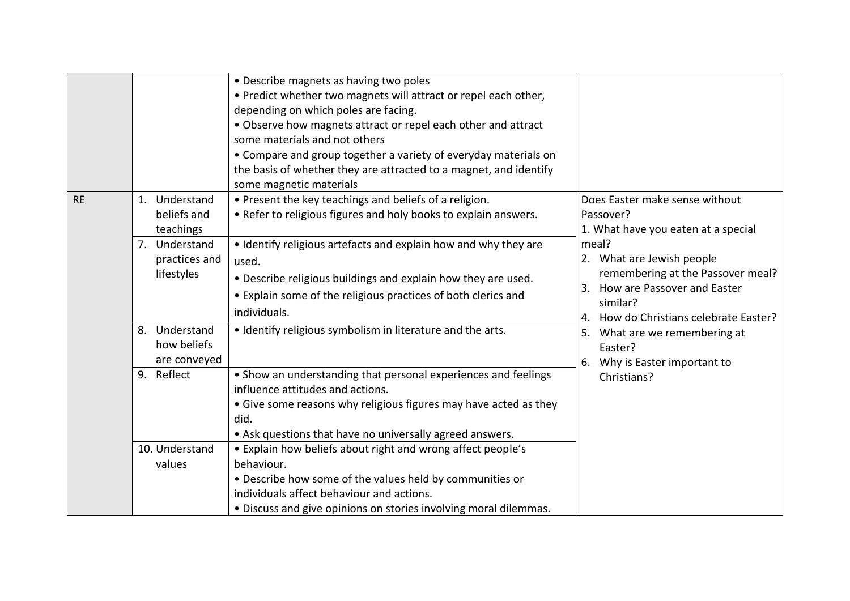|           |                                              | • Describe magnets as having two poles<br>. Predict whether two magnets will attract or repel each other,<br>depending on which poles are facing.<br>. Observe how magnets attract or repel each other and attract<br>some materials and not others<br>• Compare and group together a variety of everyday materials on<br>the basis of whether they are attracted to a magnet, and identify<br>some magnetic materials |                                                                                                                                                                       |
|-----------|----------------------------------------------|------------------------------------------------------------------------------------------------------------------------------------------------------------------------------------------------------------------------------------------------------------------------------------------------------------------------------------------------------------------------------------------------------------------------|-----------------------------------------------------------------------------------------------------------------------------------------------------------------------|
| <b>RE</b> | 1. Understand<br>beliefs and<br>teachings    | • Present the key teachings and beliefs of a religion.<br>• Refer to religious figures and holy books to explain answers.                                                                                                                                                                                                                                                                                              | Does Easter make sense without<br>Passover?<br>1. What have you eaten at a special                                                                                    |
|           | 7. Understand<br>practices and<br>lifestyles | • Identify religious artefacts and explain how and why they are<br>used.<br>. Describe religious buildings and explain how they are used.<br>• Explain some of the religious practices of both clerics and<br>individuals.                                                                                                                                                                                             | meal?<br>2. What are Jewish people<br>remembering at the Passover meal?<br>How are Passover and Easter<br>3.<br>similar?<br>How do Christians celebrate Easter?<br>4. |
|           | 8. Understand<br>how beliefs<br>are conveyed | • Identify religious symbolism in literature and the arts.                                                                                                                                                                                                                                                                                                                                                             | 5. What are we remembering at<br>Easter?<br>Why is Easter important to<br>6.                                                                                          |
|           | 9. Reflect                                   | • Show an understanding that personal experiences and feelings<br>influence attitudes and actions.<br>• Give some reasons why religious figures may have acted as they<br>did.<br>• Ask questions that have no universally agreed answers.                                                                                                                                                                             | Christians?                                                                                                                                                           |
|           | 10. Understand<br>values                     | . Explain how beliefs about right and wrong affect people's<br>behaviour.<br>• Describe how some of the values held by communities or<br>individuals affect behaviour and actions.<br>· Discuss and give opinions on stories involving moral dilemmas.                                                                                                                                                                 |                                                                                                                                                                       |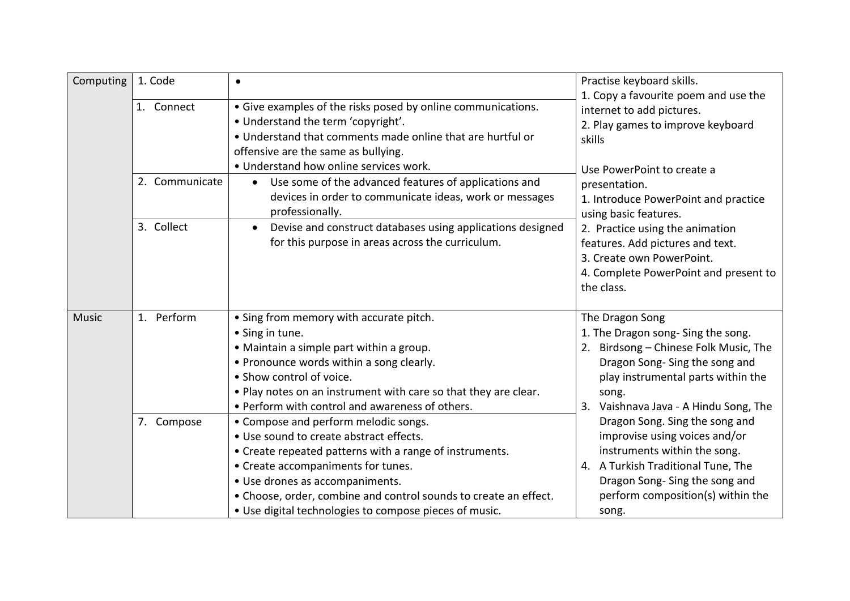| Computing    | 1. Code        | $\bullet$                                                                                                                                                                                                                                                                                                                                         | Practise keyboard skills.                                                                                                                                                                                               |
|--------------|----------------|---------------------------------------------------------------------------------------------------------------------------------------------------------------------------------------------------------------------------------------------------------------------------------------------------------------------------------------------------|-------------------------------------------------------------------------------------------------------------------------------------------------------------------------------------------------------------------------|
|              | 1. Connect     | • Give examples of the risks posed by online communications.<br>. Understand the term 'copyright'.<br>• Understand that comments made online that are hurtful or<br>offensive are the same as bullying.<br>• Understand how online services work.                                                                                                 | 1. Copy a favourite poem and use the<br>internet to add pictures.<br>2. Play games to improve keyboard<br>skills<br>Use PowerPoint to create a                                                                          |
|              | 2. Communicate | Use some of the advanced features of applications and<br>$\bullet$<br>devices in order to communicate ideas, work or messages<br>professionally.                                                                                                                                                                                                  | presentation.<br>1. Introduce PowerPoint and practice<br>using basic features.                                                                                                                                          |
|              | 3. Collect     | Devise and construct databases using applications designed<br>$\bullet$<br>for this purpose in areas across the curriculum.                                                                                                                                                                                                                       | 2. Practice using the animation<br>features. Add pictures and text.<br>3. Create own PowerPoint.<br>4. Complete PowerPoint and present to<br>the class.                                                                 |
| <b>Music</b> | 1. Perform     | • Sing from memory with accurate pitch.<br>• Sing in tune.<br>• Maintain a simple part within a group.<br>• Pronounce words within a song clearly.<br>• Show control of voice.<br>. Play notes on an instrument with care so that they are clear.<br>• Perform with control and awareness of others.                                              | The Dragon Song<br>1. The Dragon song- Sing the song.<br>2. Birdsong - Chinese Folk Music, The<br>Dragon Song-Sing the song and<br>play instrumental parts within the<br>song.<br>3. Vaishnava Java - A Hindu Song, The |
|              | 7. Compose     | • Compose and perform melodic songs.<br>. Use sound to create abstract effects.<br>• Create repeated patterns with a range of instruments.<br>• Create accompaniments for tunes.<br>· Use drones as accompaniments.<br>• Choose, order, combine and control sounds to create an effect.<br>• Use digital technologies to compose pieces of music. | Dragon Song. Sing the song and<br>improvise using voices and/or<br>instruments within the song.<br>4. A Turkish Traditional Tune, The<br>Dragon Song-Sing the song and<br>perform composition(s) within the<br>song.    |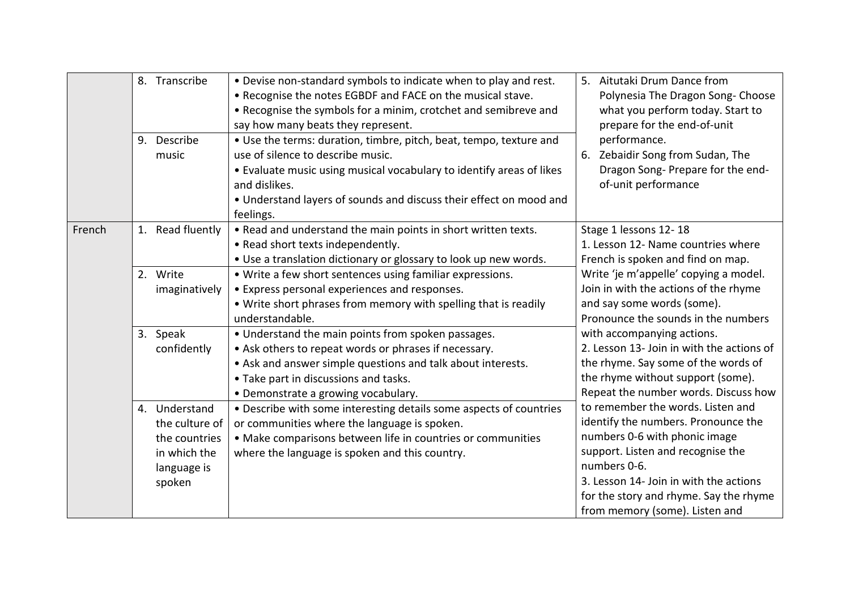|        | 8. Transcribe<br>9. Describe<br>music                                                     | . Devise non-standard symbols to indicate when to play and rest.<br>. Recognise the notes EGBDF and FACE on the musical stave.<br>• Recognise the symbols for a minim, crotchet and semibreve and<br>say how many beats they represent.<br>• Use the terms: duration, timbre, pitch, beat, tempo, texture and<br>use of silence to describe music.<br>• Evaluate music using musical vocabulary to identify areas of likes<br>and dislikes.<br>• Understand layers of sounds and discuss their effect on mood and<br>feelings. | 6. | 5. Aitutaki Drum Dance from<br>Polynesia The Dragon Song- Choose<br>what you perform today. Start to<br>prepare for the end-of-unit<br>performance.<br>Zebaidir Song from Sudan, The<br>Dragon Song-Prepare for the end-<br>of-unit performance                                      |
|--------|-------------------------------------------------------------------------------------------|--------------------------------------------------------------------------------------------------------------------------------------------------------------------------------------------------------------------------------------------------------------------------------------------------------------------------------------------------------------------------------------------------------------------------------------------------------------------------------------------------------------------------------|----|--------------------------------------------------------------------------------------------------------------------------------------------------------------------------------------------------------------------------------------------------------------------------------------|
| French | 1. Read fluently                                                                          | . Read and understand the main points in short written texts.<br>• Read short texts independently.<br>. Use a translation dictionary or glossary to look up new words.                                                                                                                                                                                                                                                                                                                                                         |    | Stage 1 lessons 12-18<br>1. Lesson 12- Name countries where<br>French is spoken and find on map.                                                                                                                                                                                     |
|        | 2. Write<br>imaginatively                                                                 | • Write a few short sentences using familiar expressions.<br>• Express personal experiences and responses.<br>. Write short phrases from memory with spelling that is readily<br>understandable.                                                                                                                                                                                                                                                                                                                               |    | Write 'je m'appelle' copying a model.<br>Join in with the actions of the rhyme<br>and say some words (some).<br>Pronounce the sounds in the numbers                                                                                                                                  |
|        | 3. Speak<br>confidently                                                                   | • Understand the main points from spoken passages.<br>• Ask others to repeat words or phrases if necessary.<br>• Ask and answer simple questions and talk about interests.<br>• Take part in discussions and tasks.<br>• Demonstrate a growing vocabulary.                                                                                                                                                                                                                                                                     |    | with accompanying actions.<br>2. Lesson 13- Join in with the actions of<br>the rhyme. Say some of the words of<br>the rhyme without support (some).<br>Repeat the number words. Discuss how                                                                                          |
|        | 4. Understand<br>the culture of<br>the countries<br>in which the<br>language is<br>spoken | • Describe with some interesting details some aspects of countries<br>or communities where the language is spoken.<br>• Make comparisons between life in countries or communities<br>where the language is spoken and this country.                                                                                                                                                                                                                                                                                            |    | to remember the words. Listen and<br>identify the numbers. Pronounce the<br>numbers 0-6 with phonic image<br>support. Listen and recognise the<br>numbers 0-6.<br>3. Lesson 14- Join in with the actions<br>for the story and rhyme. Say the rhyme<br>from memory (some). Listen and |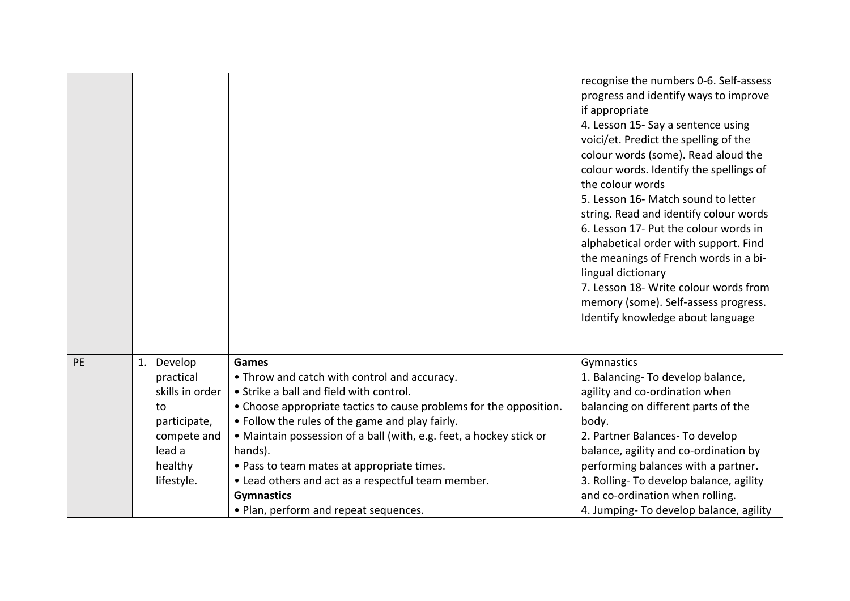|           |                         |                                                                     | recognise the numbers 0-6. Self-assess<br>progress and identify ways to improve<br>if appropriate<br>4. Lesson 15- Say a sentence using<br>voici/et. Predict the spelling of the<br>colour words (some). Read aloud the<br>colour words. Identify the spellings of<br>the colour words<br>5. Lesson 16- Match sound to letter<br>string. Read and identify colour words<br>6. Lesson 17- Put the colour words in<br>alphabetical order with support. Find<br>the meanings of French words in a bi-<br>lingual dictionary<br>7. Lesson 18- Write colour words from<br>memory (some). Self-assess progress.<br>Identify knowledge about language |
|-----------|-------------------------|---------------------------------------------------------------------|------------------------------------------------------------------------------------------------------------------------------------------------------------------------------------------------------------------------------------------------------------------------------------------------------------------------------------------------------------------------------------------------------------------------------------------------------------------------------------------------------------------------------------------------------------------------------------------------------------------------------------------------|
| <b>PE</b> | 1. Develop<br>practical | <b>Games</b><br>• Throw and catch with control and accuracy.        | Gymnastics<br>1. Balancing- To develop balance,                                                                                                                                                                                                                                                                                                                                                                                                                                                                                                                                                                                                |
|           | skills in order         | • Strike a ball and field with control.                             | agility and co-ordination when                                                                                                                                                                                                                                                                                                                                                                                                                                                                                                                                                                                                                 |
|           | to                      | • Choose appropriate tactics to cause problems for the opposition.  | balancing on different parts of the                                                                                                                                                                                                                                                                                                                                                                                                                                                                                                                                                                                                            |
|           | participate,            | • Follow the rules of the game and play fairly.                     | body.                                                                                                                                                                                                                                                                                                                                                                                                                                                                                                                                                                                                                                          |
|           | compete and             | • Maintain possession of a ball (with, e.g. feet, a hockey stick or | 2. Partner Balances- To develop                                                                                                                                                                                                                                                                                                                                                                                                                                                                                                                                                                                                                |
|           | lead a                  | hands).                                                             | balance, agility and co-ordination by                                                                                                                                                                                                                                                                                                                                                                                                                                                                                                                                                                                                          |
|           | healthy                 | . Pass to team mates at appropriate times.                          | performing balances with a partner.                                                                                                                                                                                                                                                                                                                                                                                                                                                                                                                                                                                                            |
|           | lifestyle.              | • Lead others and act as a respectful team member.                  | 3. Rolling- To develop balance, agility                                                                                                                                                                                                                                                                                                                                                                                                                                                                                                                                                                                                        |
|           |                         | <b>Gymnastics</b>                                                   | and co-ordination when rolling.                                                                                                                                                                                                                                                                                                                                                                                                                                                                                                                                                                                                                |
|           |                         | • Plan, perform and repeat sequences.                               | 4. Jumping- To develop balance, agility                                                                                                                                                                                                                                                                                                                                                                                                                                                                                                                                                                                                        |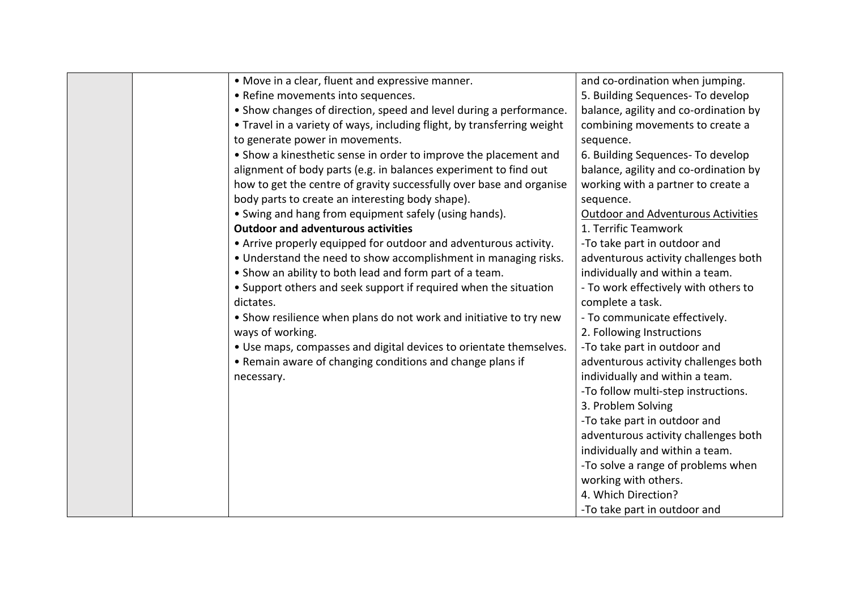|  | • Move in a clear, fluent and expressive manner.                        | and co-ordination when jumping.           |
|--|-------------------------------------------------------------------------|-------------------------------------------|
|  | • Refine movements into sequences.                                      | 5. Building Sequences- To develop         |
|  | • Show changes of direction, speed and level during a performance.      | balance, agility and co-ordination by     |
|  | • Travel in a variety of ways, including flight, by transferring weight | combining movements to create a           |
|  | to generate power in movements.                                         | sequence.                                 |
|  | • Show a kinesthetic sense in order to improve the placement and        | 6. Building Sequences- To develop         |
|  | alignment of body parts (e.g. in balances experiment to find out        | balance, agility and co-ordination by     |
|  | how to get the centre of gravity successfully over base and organise    | working with a partner to create a        |
|  | body parts to create an interesting body shape).                        | sequence.                                 |
|  | • Swing and hang from equipment safely (using hands).                   | <b>Outdoor and Adventurous Activities</b> |
|  | <b>Outdoor and adventurous activities</b>                               | 1. Terrific Teamwork                      |
|  | • Arrive properly equipped for outdoor and adventurous activity.        | -To take part in outdoor and              |
|  | . Understand the need to show accomplishment in managing risks.         | adventurous activity challenges both      |
|  | • Show an ability to both lead and form part of a team.                 | individually and within a team.           |
|  | • Support others and seek support if required when the situation        | - To work effectively with others to      |
|  | dictates.                                                               | complete a task.                          |
|  | • Show resilience when plans do not work and initiative to try new      | - To communicate effectively.             |
|  | ways of working.                                                        | 2. Following Instructions                 |
|  | . Use maps, compasses and digital devices to orientate themselves.      | -To take part in outdoor and              |
|  | • Remain aware of changing conditions and change plans if               | adventurous activity challenges both      |
|  | necessary.                                                              | individually and within a team.           |
|  |                                                                         | -To follow multi-step instructions.       |
|  |                                                                         | 3. Problem Solving                        |
|  |                                                                         | -To take part in outdoor and              |
|  |                                                                         | adventurous activity challenges both      |
|  |                                                                         | individually and within a team.           |
|  |                                                                         | -To solve a range of problems when        |
|  |                                                                         | working with others.                      |
|  |                                                                         | 4. Which Direction?                       |
|  |                                                                         | -To take part in outdoor and              |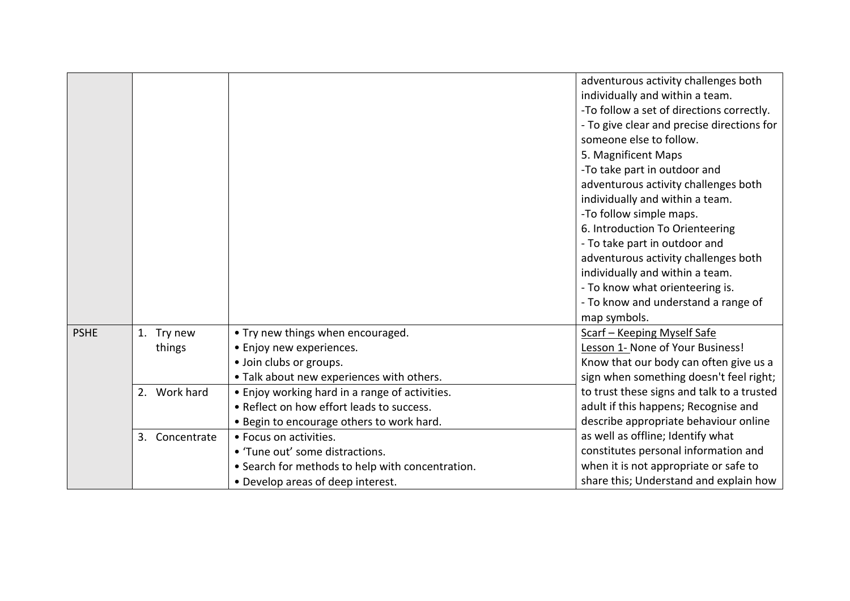|             |                |                                                  | adventurous activity challenges both       |
|-------------|----------------|--------------------------------------------------|--------------------------------------------|
|             |                |                                                  | individually and within a team.            |
|             |                |                                                  | -To follow a set of directions correctly.  |
|             |                |                                                  | - To give clear and precise directions for |
|             |                |                                                  | someone else to follow.                    |
|             |                |                                                  | 5. Magnificent Maps                        |
|             |                |                                                  | -To take part in outdoor and               |
|             |                |                                                  | adventurous activity challenges both       |
|             |                |                                                  | individually and within a team.            |
|             |                |                                                  | -To follow simple maps.                    |
|             |                |                                                  | 6. Introduction To Orienteering            |
|             |                |                                                  | - To take part in outdoor and              |
|             |                |                                                  | adventurous activity challenges both       |
|             |                |                                                  | individually and within a team.            |
|             |                |                                                  | - To know what orienteering is.            |
|             |                |                                                  | - To know and understand a range of        |
|             |                |                                                  | map symbols.                               |
| <b>PSHE</b> | 1. Try new     | • Try new things when encouraged.                | Scarf - Keeping Myself Safe                |
|             | things         | • Enjoy new experiences.                         | Lesson 1- None of Your Business!           |
|             |                | · Join clubs or groups.                          | Know that our body can often give us a     |
|             |                | . Talk about new experiences with others.        | sign when something doesn't feel right;    |
|             | 2. Work hard   | • Enjoy working hard in a range of activities.   | to trust these signs and talk to a trusted |
|             |                | • Reflect on how effort leads to success.        | adult if this happens; Recognise and       |
|             |                | . Begin to encourage others to work hard.        | describe appropriate behaviour online      |
|             | 3. Concentrate | • Focus on activities.                           | as well as offline; Identify what          |
|             |                | • 'Tune out' some distractions.                  | constitutes personal information and       |
|             |                | • Search for methods to help with concentration. | when it is not appropriate or safe to      |
|             |                | • Develop areas of deep interest.                | share this; Understand and explain how     |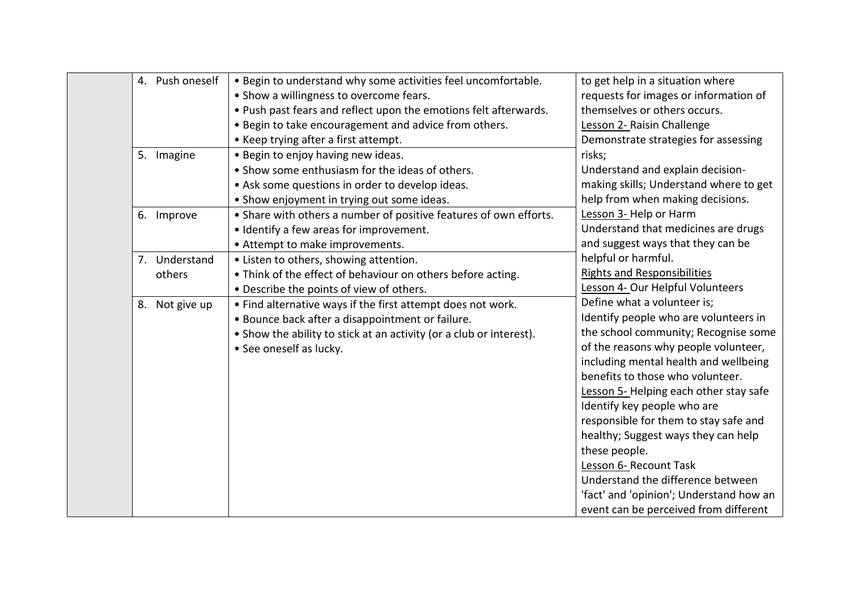| 4. Push oneself | . Begin to understand why some activities feel uncomfortable.       | to get help in a situation where        |
|-----------------|---------------------------------------------------------------------|-----------------------------------------|
|                 | • Show a willingness to overcome fears.                             | requests for images or information of   |
|                 | . Push past fears and reflect upon the emotions felt afterwards.    | themselves or others occurs.            |
|                 | . Begin to take encouragement and advice from others.               | Lesson 2- Raisin Challenge              |
|                 | • Keep trying after a first attempt.                                | Demonstrate strategies for assessing    |
| 5. Imagine      | • Begin to enjoy having new ideas.                                  | risks;                                  |
|                 | • Show some enthusiasm for the ideas of others.                     | Understand and explain decision-        |
|                 | • Ask some questions in order to develop ideas.                     | making skills; Understand where to get  |
|                 | • Show enjoyment in trying out some ideas.                          | help from when making decisions.        |
| 6. Improve      | • Share with others a number of positive features of own efforts.   | Lesson 3- Help or Harm                  |
|                 | • Identify a few areas for improvement.                             | Understand that medicines are drugs     |
|                 | • Attempt to make improvements.                                     | and suggest ways that they can be       |
| 7. Understand   | • Listen to others, showing attention.                              | helpful or harmful.                     |
| others          | • Think of the effect of behaviour on others before acting.         | <b>Rights and Responsibilities</b>      |
|                 | • Describe the points of view of others.                            | Lesson 4- Our Helpful Volunteers        |
| 8. Not give up  | • Find alternative ways if the first attempt does not work.         | Define what a volunteer is;             |
|                 | • Bounce back after a disappointment or failure.                    | Identify people who are volunteers in   |
|                 | • Show the ability to stick at an activity (or a club or interest). | the school community; Recognise some    |
|                 | • See oneself as lucky.                                             | of the reasons why people volunteer,    |
|                 |                                                                     | including mental health and wellbeing   |
|                 |                                                                     | benefits to those who volunteer.        |
|                 |                                                                     | Lesson 5- Helping each other stay safe  |
|                 |                                                                     | Identify key people who are             |
|                 |                                                                     | responsible for them to stay safe and   |
|                 |                                                                     | healthy; Suggest ways they can help     |
|                 |                                                                     | these people.                           |
|                 |                                                                     | Lesson 6- Recount Task                  |
|                 |                                                                     | Understand the difference between       |
|                 |                                                                     | 'fact' and 'opinion'; Understand how an |
|                 |                                                                     | event can be perceived from different   |